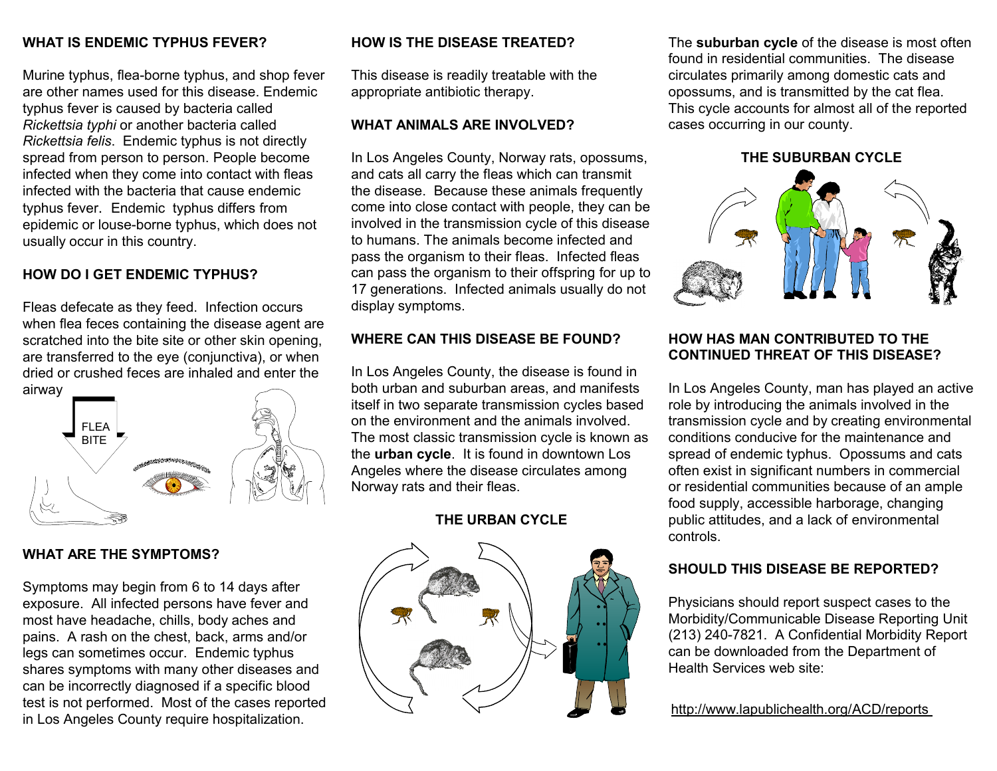## **WHAT IS ENDEMIC TYPHUS FEVER?**

Murine typhus, flea-borne typhus, and shop fever are other names used for this disease. Endemic typhus fever is caused by bacteria called *Rickettsia typhi* or another bacteria called *Rickettsia felis*. Endemic typhus is not directly spread from person to person. People become infected when they come into contact with fleas infected with the bacteria that cause endemic typhus fever. Endemic typhus differs from epidemic or louse-borne typhus, which does not usually occur in this country.

## **HOW DO I GET ENDEMIC TYPHUS?**

Fleas defecate as they feed. Infection occurs when flea feces containing the disease agent are scratched into the bite site or other skin opening, are transferred to the eye (conjunctiva), or when dried or crushed feces are inhaled and enter the airway



## **WHAT ARE THE SYMPTOMS?**

Symptoms may begin from 6 to 14 days after exposure. All infected persons have fever and most have headache, chills, body aches and pains. A rash on the chest, back, arms and/or legs can sometimes occur. Endemic typhus shares symptoms with many other diseases and can be incorrectly diagnosed if a specific blood test is not performed. Most of the cases reported in Los Angeles County require hospitalization.

## **HOW IS THE DISEASE TREATED?**

This disease is readily treatable with the appropriate antibiotic therapy.

#### **WHAT ANIMALS ARE INVOLVED?**

In Los Angeles County, Norway rats, opossums, and cats all carry the fleas which can transmit the disease. Because these animals frequently come into close contact with people, they can be involved in the transmission cycle of this disease to humans. The animals become infected and pass the organism to their fleas. Infected fleas can pass the organism to their offspring for up to 17 generations. Infected animals usually do not display symptoms.

## **WHERE CAN THIS DISEASE BE FOUND?**

In Los Angeles County, the disease is found in both urban and suburban areas, and manifests itself in two separate transmission cycles based on the environment and the animals involved. The most classic transmission cycle is known as the **urban cycle**. It is found in downtown Los Angeles where the disease circulates among Norway rats and their fleas.

## **THE URBAN CYCLE**



The **suburban cycle** of the disease is most often found in residential communities. The disease circulates primarily among domestic cats and opossums, and is transmitted by the cat flea. This cycle accounts for almost all of the reported cases occurring in our county.

#### **THE SUBURBAN CYCLE**



## **HOW HAS MAN CONTRIBUTED TO THE CONTINUED THREAT OF THIS DISEASE?**

In Los Angeles County, man has played an active role by introducing the animals involved in the transmission cycle and by creating environmental conditions conducive for the maintenance and spread of endemic typhus. Opossums and cats often exist in significant numbers in commercial or residential communities because of an ample food supply, accessible harborage, changing public attitudes, and a lack of environmental controls.

## **SHOULD THIS DISEASE BE REPORTED?**

Physicians should report suspect cases to the Morbidity/Communicable Disease Reporting Unit (213) 240-7821. A Confidential Morbidity Report can be downloaded from the Department of Health Services web site:

## http://www.lapublichealth.org/ACD/reports